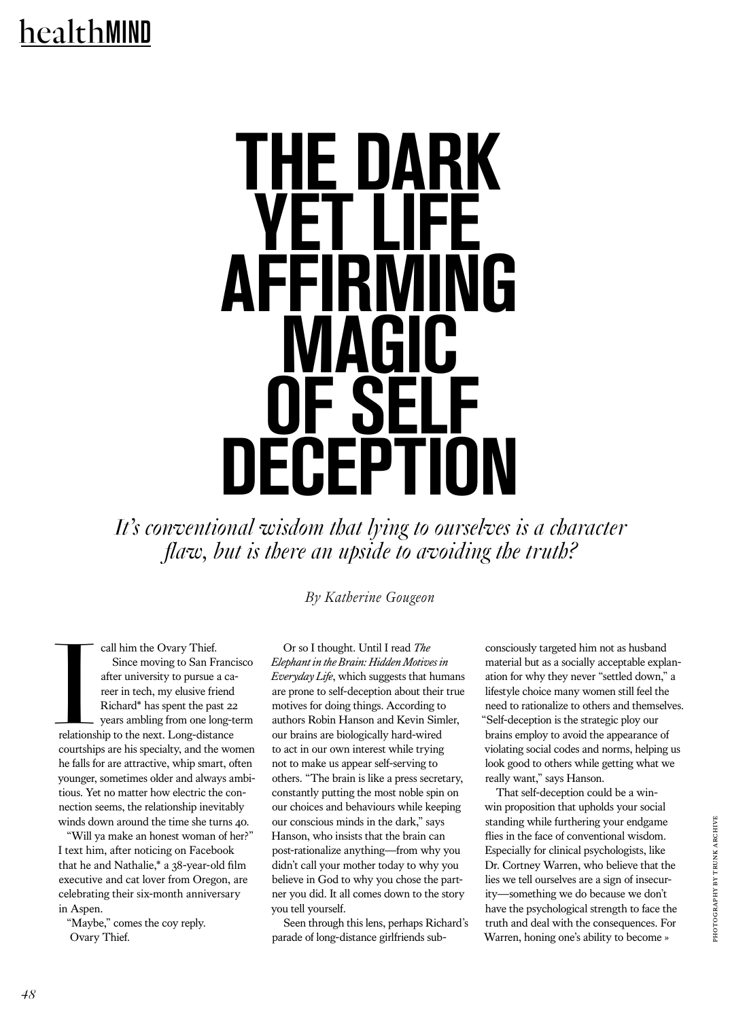## healthMIND

# **The Dark YeT Life affirming magic of SeLf DecepTion**

*It's conventional wisdom that lying to ourselves is a character flaw, but is there an upside to avoiding the truth?*

#### *By Katherine Gougeon*

The relations courtship call him the Ovary Thief. Since moving to San Francisco after university to pursue a career in tech, my elusive friend Richard\* has spent the past 22 years ambling from one long-term relationship to the next. Long‑distance courtships are his specialty, and the women he falls for are attractive, whip smart, often younger, sometimes older and always ambitious. Yet no matter how electric the connection seems, the relationship inevitably winds down around the time she turns 40.

"Will ya make an honest woman of her?" I text him, after noticing on Facebook that he and Nathalie,\* a 38‑year‑old film executive and cat lover from Oregon, are celebrating their six‑month anniversary in Aspen.

"Maybe," comes the coy reply. Ovary Thief.

Or so I thought. Until I read *The Elephant in the Brain: Hidden Motives in Everyday Life*, which suggests that humans are prone to self‑deception about their true motives for doing things. According to authors Robin Hanson and Kevin Simler, our brains are biologically hard‑wired to act in our own interest while trying not to make us appear self‑serving to others. "The brain is like a press secretary, constantly putting the most noble spin on our choices and behaviours while keeping our conscious minds in the dark," says Hanson, who insists that the brain can post‑rationalize anything—from why you didn't call your mother today to why you believe in God to why you chose the partner you did. It all comes down to the story you tell yourself.

Seen through this lens, perhaps Richard's parade of long-distance girlfriends sub-

consciously targeted him not as husband material but as a socially acceptable explanation for why they never "settled down," a lifestyle choice many women still feel the need to rationalize to others and themselves. "Self‑deception is the strategic ploy our brains employ to avoid the appearance of violating social codes and norms, helping us look good to others while getting what we really want," says Hanson.

That self-deception could be a winwin proposition that upholds your social standing while furthering your endgame flies in the face of conventional wisdom. Especially for clinical psychologists, like Dr. Cortney Warren, who believe that the lies we tell ourselves are a sign of insecurity—something we do because we don't have the psychological strength to face the truth and deal with the consequences. For Warren, honing one's ability to become »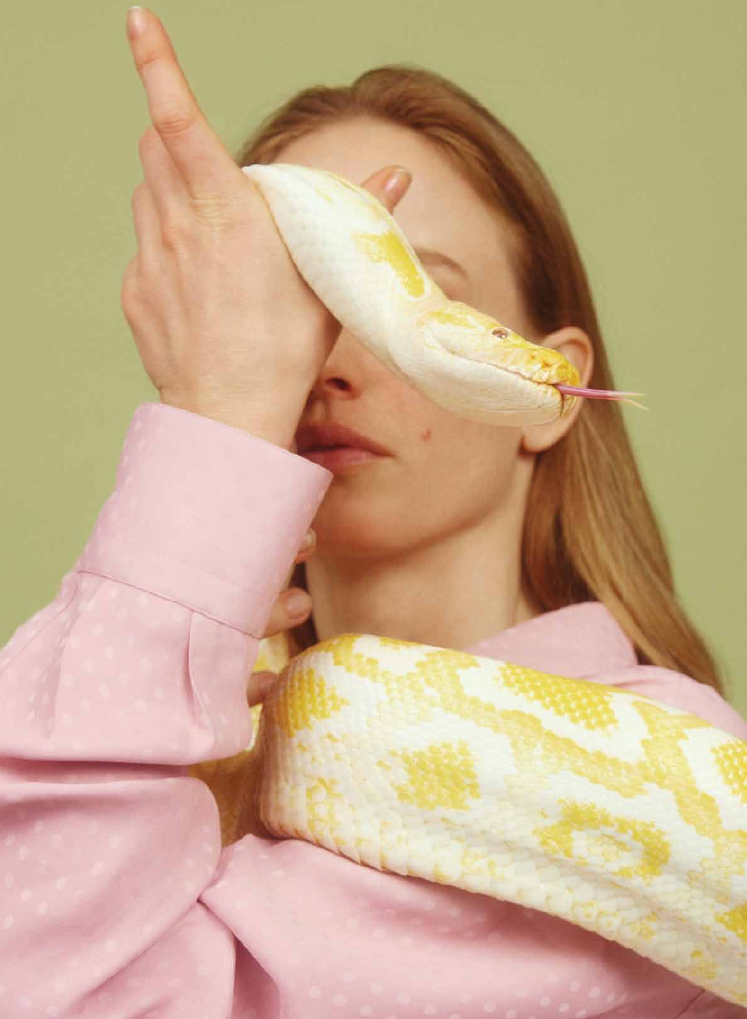